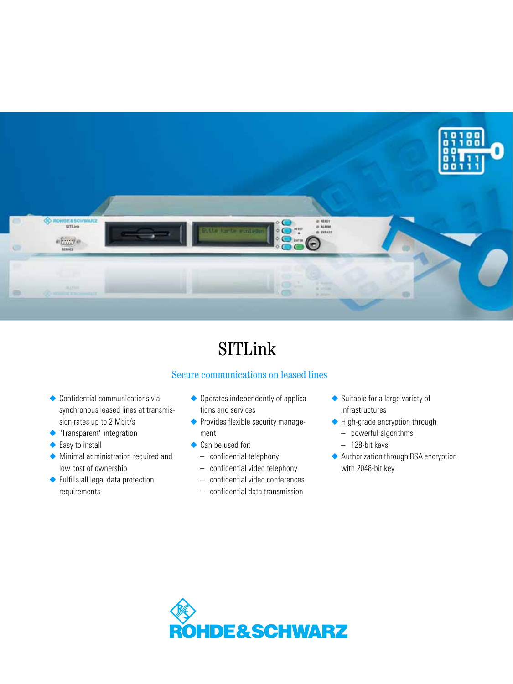

# SITLink

## Secure communications on leased lines

- ◆ Confidential communications via synchronous leased lines at transmission rates up to 2 Mbit/s
- ◆ "Transparent" integration
- ◆ Easy to install
- ◆ Minimal administration required and low cost of ownership
- ◆ Fulfills all legal data protection requirements
- ◆ Operates independently of applications and services
- ◆ Provides flexible security management
- ◆ Can be used for:
	- confidential telephony
	- confidential video telephony
	- confidential video conferences
	- confidential data transmission
- ◆ Suitable for a large variety of infrastructures
- ◆ High-grade encryption through
	- powerful algorithms
	- 128-bit keys
- ◆ Authorization through RSA encryption with 2048-bit key

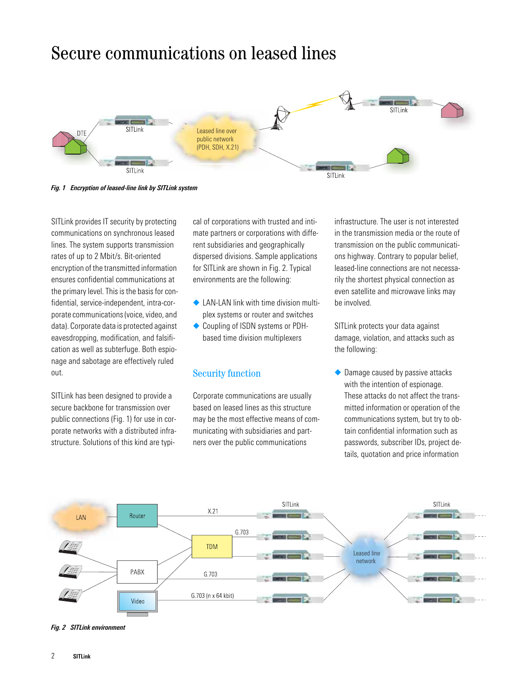# Secure communications on leased lines



*Fig. 1 Encryption of leased-line link by SITLink system*

SITLink provides IT security by protecting communications on synchronous leased lines. The system supports transmission rates of up to 2 Mbit/s. Bit-oriented encryption of the transmitted information ensures confidential communications at the primary level. This is the basis for confidential, service-independent, intra-corporate communications (voice, video, and data). Corporate data is protected against eavesdropping, modification, and falsification as well as subterfuge. Both espionage and sabotage are effectively ruled out.

SITLink has been designed to provide a secure backbone for transmission over public connections (Fig. 1) for use in corporate networks with a distributed infrastructure. Solutions of this kind are typi-

cal of corporations with trusted and intimate partners or corporations with different subsidiaries and geographically dispersed divisions. Sample applications for SITLink are shown in Fig. 2. Typical environments are the following:

- ◆ LAN-LAN link with time division multiplex systems or router and switches
- ◆ Coupling of ISDN systems or PDHbased time division multiplexers

### Security function

Corporate communications are usually based on leased lines as this structure may be the most effective means of communicating with subsidiaries and partners over the public communications

infrastructure. The user is not interested in the transmission media or the route of transmission on the public communications highway. Contrary to popular belief, leased-line connections are not necessarily the shortest physical connection as even satellite and microwave links may be involved.

SITLink protects your data against damage, violation, and attacks such as the following:

◆ Damage caused by passive attacks with the intention of espionage. These attacks do not affect the transmitted information or operation of the communications system, but try to obtain confidential information such as passwords, subscriber IDs, project details, quotation and price information



*Fig. 2 SITLink environment*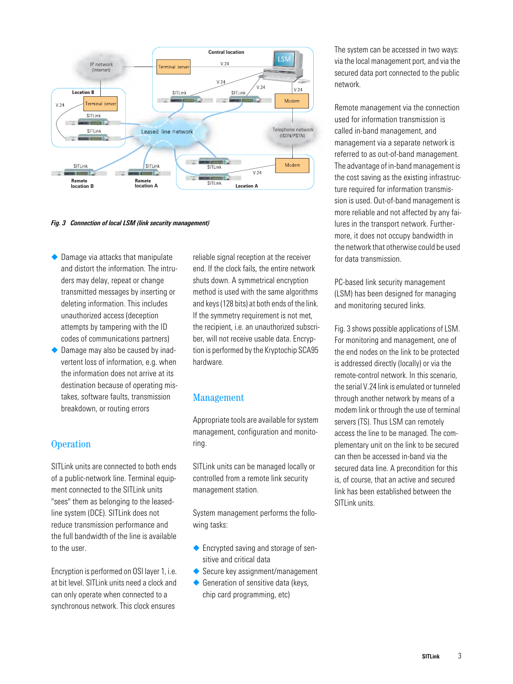

*Fig. 3 Connection of local LSM (link security management)*

- ◆ Damage via attacks that manipulate and distort the information. The intruders may delay, repeat or change transmitted messages by inserting or deleting information. This includes unauthorized access (deception attempts by tampering with the ID codes of communications partners)
- Damage may also be caused by inadvertent loss of information, e.g. when the information does not arrive at its destination because of operating mistakes, software faults, transmission breakdown, or routing errors

## **Operation**

SITLink units are connected to both ends of a public-network line. Terminal equipment connected to the SITLink units "sees" them as belonging to the leasedline system (DCE). SITLink does not reduce transmission performance and the full bandwidth of the line is available to the user.

Encryption is performed on OSI layer 1, i.e. at bit level. SITLink units need a clock and can only operate when connected to a synchronous network. This clock ensures

reliable signal reception at the receiver end. If the clock fails, the entire network shuts down. A symmetrical encryption method is used with the same algorithms and keys (128 bits) at both ends of the link. If the symmetry requirement is not met, the recipient, i.e. an unauthorized subscriber, will not receive usable data. Encryption is performed by the Kryptochip SCA95 hardware.

## Management

Appropriate tools are available for system management, configuration and monitoring.

SITLink units can be managed locally or controlled from a remote link security management station.

System management performs the following tasks:

- ◆ Encrypted saving and storage of sensitive and critical data
- ◆ Secure key assignment/management
- ◆ Generation of sensitive data (keys, chip card programming, etc)

The system can be accessed in two ways: via the local management port, and via the secured data port connected to the public network.

Remote management via the connection used for information transmission is called in-band management, and management via a separate network is referred to as out-of-band management. The advantage of in-band management is the cost saving as the existing infrastructure required for information transmission is used. Out-of-band management is more reliable and not affected by any failures in the transport network. Furthermore, it does not occupy bandwidth in the network that otherwise could be used for data transmission.

PC-based link security management (LSM) has been designed for managing and monitoring secured links.

Fig. 3 shows possible applications of LSM. For monitoring and management, one of the end nodes on the link to be protected is addressed directly (locally) or via the remote-control network. In this scenario, the serial V.24 link is emulated or tunneled through another network by means of a modem link or through the use of terminal servers (TS). Thus LSM can remotely access the line to be managed. The complementary unit on the link to be secured can then be accessed in-band via the secured data line. A precondition for this is, of course, that an active and secured link has been established between the SITLink units.